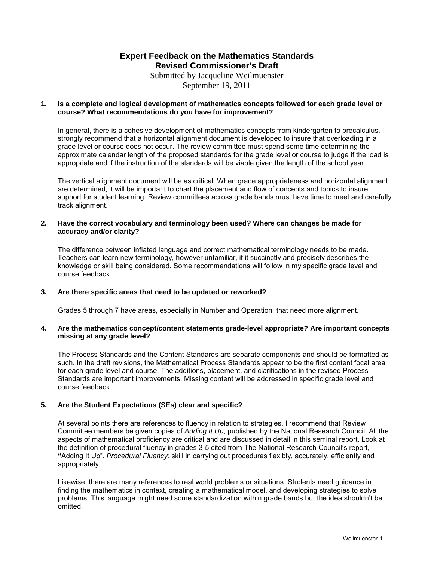Submitted by Jacqueline Weilmuenster September 19, 2011

## **1. Is a complete and logical development of mathematics concepts followed for each grade level or course? What recommendations do you have for improvement?**

In general, there is a cohesive development of mathematics concepts from kindergarten to precalculus. I strongly recommend that a horizontal alignment document is developed to insure that overloading in a grade level or course does not occur. The review committee must spend some time determining the approximate calendar length of the proposed standards for the grade level or course to judge if the load is appropriate and if the instruction of the standards will be viable given the length of the school year.

The vertical alignment document will be as critical. When grade appropriateness and horizontal alignment are determined, it will be important to chart the placement and flow of concepts and topics to insure support for student learning. Review committees across grade bands must have time to meet and carefully track alignment.

## **2. Have the correct vocabulary and terminology been used? Where can changes be made for accuracy and/or clarity?**

The difference between inflated language and correct mathematical terminology needs to be made. Teachers can learn new terminology, however unfamiliar, if it succinctly and precisely describes the knowledge or skill being considered. Some recommendations will follow in my specific grade level and course feedback.

## **3. Are there specific areas that need to be updated or reworked?**

Grades 5 through 7 have areas, especially in Number and Operation, that need more alignment.

## **4. Are the mathematics concept/content statements grade-level appropriate? Are important concepts missing at any grade level?**

The Process Standards and the Content Standards are separate components and should be formatted as such. In the draft revisions, the Mathematical Process Standards appear to be the first content focal area for each grade level and course. The additions, placement, and clarifications in the revised Process Standards are important improvements. Missing content will be addressed in specific grade level and course feedback.

## **5. Are the Student Expectations (SEs) clear and specific?**

At several points there are references to fluency in relation to strategies. I recommend that Review Committee members be given copies of *Adding It Up*, published by the National Research Council. All the aspects of mathematical proficiency are critical and are discussed in detail in this seminal report. Look at the definition of procedural fluency in grades 3-5 cited from The National Research Council's report, **"**Adding It Up". *Procedural Fluency:* skill in carrying out procedures flexibly, accurately, efficiently and appropriately.

Likewise, there are many references to real world problems or situations. Students need guidance in finding the mathematics in context, creating a mathematical model, and developing strategies to solve problems. This language might need some standardization within grade bands but the idea shouldn't be omitted.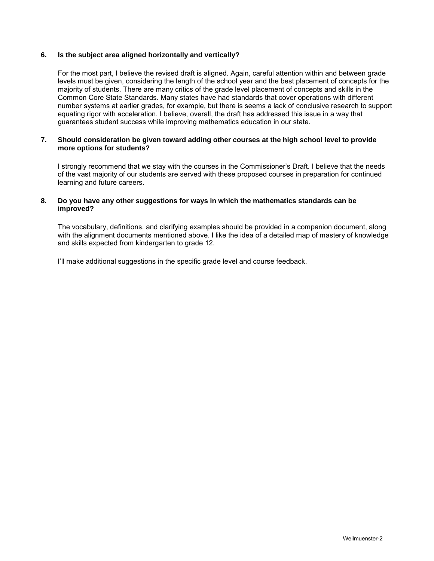## **6. Is the subject area aligned horizontally and vertically?**

For the most part, I believe the revised draft is aligned. Again, careful attention within and between grade levels must be given, considering the length of the school year and the best placement of concepts for the majority of students. There are many critics of the grade level placement of concepts and skills in the Common Core State Standards. Many states have had standards that cover operations with different number systems at earlier grades, for example, but there is seems a lack of conclusive research to support equating rigor with acceleration. I believe, overall, the draft has addressed this issue in a way that guarantees student success while improving mathematics education in our state.

### **7. Should consideration be given toward adding other courses at the high school level to provide more options for students?**

I strongly recommend that we stay with the courses in the Commissioner's Draft. I believe that the needs of the vast majority of our students are served with these proposed courses in preparation for continued learning and future careers.

### **8. Do you have any other suggestions for ways in which the mathematics standards can be improved?**

The vocabulary, definitions, and clarifying examples should be provided in a companion document, along with the alignment documents mentioned above. I like the idea of a detailed map of mastery of knowledge and skills expected from kindergarten to grade 12.

I'll make additional suggestions in the specific grade level and course feedback.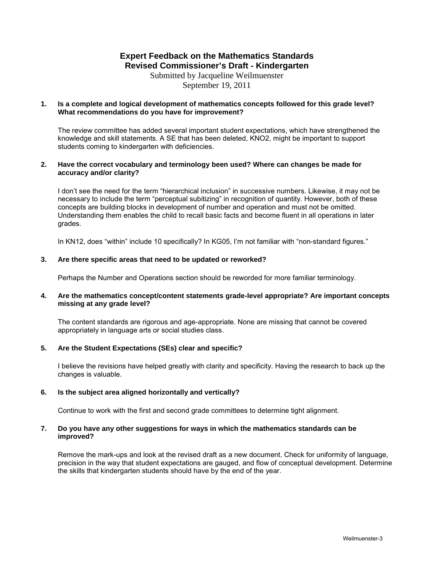Submitted by Jacqueline Weilmuenster September 19, 2011

## **1. Is a complete and logical development of mathematics concepts followed for this grade level? What recommendations do you have for improvement?**

The review committee has added several important student expectations, which have strengthened the knowledge and skill statements. A SE that has been deleted, KNO2, might be important to support students coming to kindergarten with deficiencies.

## **2. Have the correct vocabulary and terminology been used? Where can changes be made for accuracy and/or clarity?**

I don't see the need for the term "hierarchical inclusion" in successive numbers. Likewise, it may not be necessary to include the term "perceptual subitizing" in recognition of quantity. However, both of these concepts are building blocks in development of number and operation and must not be omitted. Understanding them enables the child to recall basic facts and become fluent in all operations in later grades.

In KN12, does "within" include 10 specifically? In KG05, I'm not familiar with "non-standard figures."

## **3. Are there specific areas that need to be updated or reworked?**

Perhaps the Number and Operations section should be reworded for more familiar terminology.

### **4. Are the mathematics concept/content statements grade-level appropriate? Are important concepts missing at any grade level?**

The content standards are rigorous and age-appropriate. None are missing that cannot be covered appropriately in language arts or social studies class.

## **5. Are the Student Expectations (SEs) clear and specific?**

I believe the revisions have helped greatly with clarity and specificity. Having the research to back up the changes is valuable.

## **6. Is the subject area aligned horizontally and vertically?**

Continue to work with the first and second grade committees to determine tight alignment.

### **7. Do you have any other suggestions for ways in which the mathematics standards can be improved?**

Remove the mark-ups and look at the revised draft as a new document. Check for uniformity of language, precision in the way that student expectations are gauged, and flow of conceptual development. Determine the skills that kindergarten students should have by the end of the year.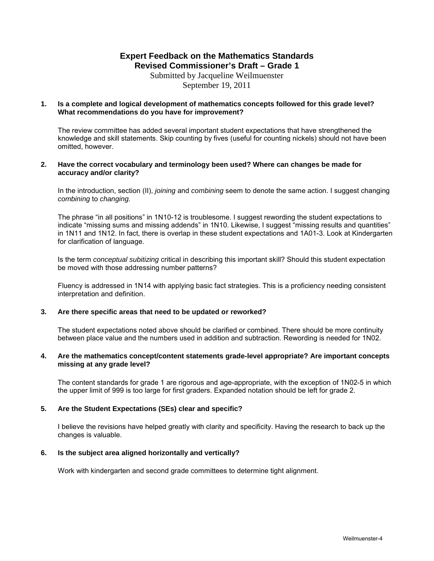Submitted by Jacqueline Weilmuenster September 19, 2011

## **1. Is a complete and logical development of mathematics concepts followed for this grade level? What recommendations do you have for improvement?**

The review committee has added several important student expectations that have strengthened the knowledge and skill statements. Skip counting by fives (useful for counting nickels) should not have been omitted, however.

### **2. Have the correct vocabulary and terminology been used? Where can changes be made for accuracy and/or clarity?**

In the introduction, section (II), *joining* and *combining* seem to denote the same action. I suggest changing *combining* to *changing.*

The phrase "in all positions" in 1N10-12 is troublesome. I suggest rewording the student expectations to indicate "missing sums and missing addends" in 1N10. Likewise, I suggest "missing results and quantities" in 1N11 and 1N12. In fact, there is overlap in these student expectations and 1A01-3. Look at Kindergarten for clarification of language.

Is the term *conceptual subitizing* critical in describing this important skill? Should this student expectation be moved with those addressing number patterns?

Fluency is addressed in 1N14 with applying basic fact strategies. This is a proficiency needing consistent interpretation and definition.

## **3. Are there specific areas that need to be updated or reworked?**

The student expectations noted above should be clarified or combined. There should be more continuity between place value and the numbers used in addition and subtraction. Rewording is needed for 1N02.

### **4. Are the mathematics concept/content statements grade-level appropriate? Are important concepts missing at any grade level?**

The content standards for grade 1 are rigorous and age-appropriate, with the exception of 1N02-5 in which the upper limit of 999 is too large for first graders. Expanded notation should be left for grade 2.

## **5. Are the Student Expectations (SEs) clear and specific?**

I believe the revisions have helped greatly with clarity and specificity. Having the research to back up the changes is valuable.

## **6. Is the subject area aligned horizontally and vertically?**

Work with kindergarten and second grade committees to determine tight alignment.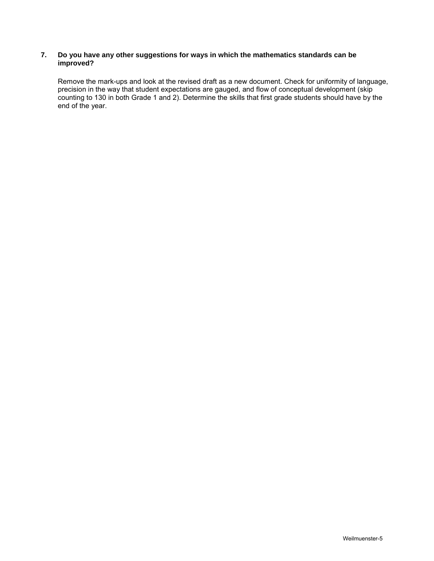## **7. Do you have any other suggestions for ways in which the mathematics standards can be improved?**

Remove the mark-ups and look at the revised draft as a new document. Check for uniformity of language, precision in the way that student expectations are gauged, and flow of conceptual development (skip counting to 130 in both Grade 1 and 2). Determine the skills that first grade students should have by the end of the year.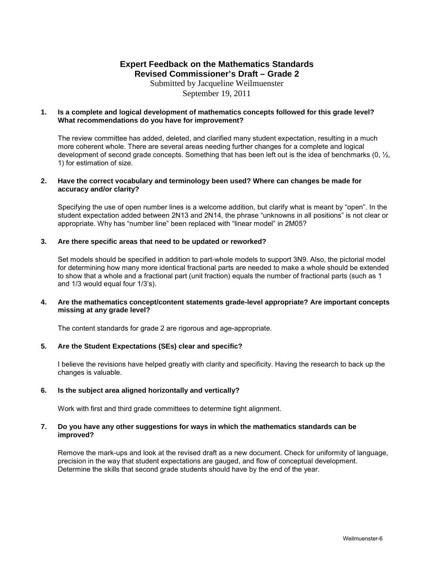Submitted by Jacqueline Weilmuenster September 19, 2011

### **1. Is a complete and logical development of mathematics concepts followed for this grade level? What recommendations do you have for improvement?**

The review committee has added, deleted, and clarified many student expectation, resulting in a much more coherent whole. There are several areas needing further changes for a complete and logical development of second grade concepts. Something that has been left out is the idea of benchmarks  $(0, \frac{1}{2}, \frac{1}{2})$ 1) for estimation of size.

### **2. Have the correct vocabulary and terminology been used? Where can changes be made for accuracy and/or clarity?**

Specifying the use of open number lines is a welcome addition, but clarify what is meant by "open". In the student expectation added between 2N13 and 2N14, the phrase "unknowns in all positions" is not clear or appropriate. Why has "number line" been replaced with "linear model" in 2M05?

## **3. Are there specific areas that need to be updated or reworked?**

 Set models should be specified in addition to part-whole models to support 3N9. Also, the pictorial model for determining how many more identical fractional parts are needed to make a whole should be extended to show that a whole and a fractional part (unit fraction) equals the number of fractional parts (such as 1 and 1/3 would equal four 1/3's).

## **4. Are the mathematics concept/content statements grade-level appropriate? Are important concepts missing at any grade level?**

The content standards for grade 2 are rigorous and age-appropriate.

## **5. Are the Student Expectations (SEs) clear and specific?**

I believe the revisions have helped greatly with clarity and specificity. Having the research to back up the changes is valuable.

## **6. Is the subject area aligned horizontally and vertically?**

Work with first and third grade committees to determine tight alignment.

### **7. Do you have any other suggestions for ways in which the mathematics standards can be improved?**

Remove the mark-ups and look at the revised draft as a new document. Check for uniformity of language, precision in the way that student expectations are gauged, and flow of conceptual development. Determine the skills that second grade students should have by the end of the year.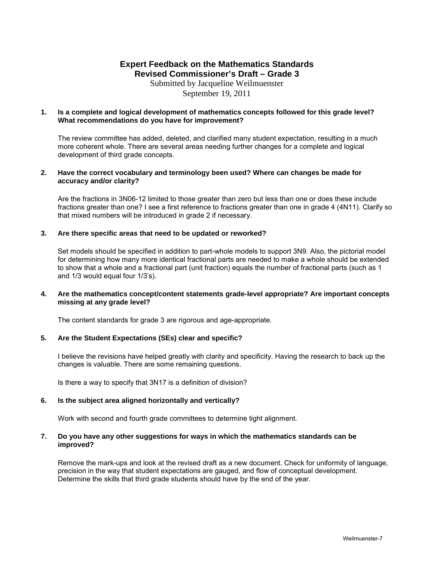Submitted by Jacqueline Weilmuenster September 19, 2011

### **1. Is a complete and logical development of mathematics concepts followed for this grade level? What recommendations do you have for improvement?**

The review committee has added, deleted, and clarified many student expectation, resulting in a much more coherent whole. There are several areas needing further changes for a complete and logical development of third grade concepts.

### **2. Have the correct vocabulary and terminology been used? Where can changes be made for accuracy and/or clarity?**

Are the fractions in 3N06-12 limited to those greater than zero but less than one or does these include fractions greater than one? I see a first reference to fractions greater than one in grade 4 (4N11). Clarify so that mixed numbers will be introduced in grade 2 if necessary.

## **3. Are there specific areas that need to be updated or reworked?**

Set models should be specified in addition to part-whole models to support 3N9. Also, the pictorial model for determining how many more identical fractional parts are needed to make a whole should be extended to show that a whole and a fractional part (unit fraction) equals the number of fractional parts (such as 1 and 1/3 would equal four 1/3's).

### **4. Are the mathematics concept/content statements grade-level appropriate? Are important concepts missing at any grade level?**

The content standards for grade 3 are rigorous and age-appropriate.

## **5. Are the Student Expectations (SEs) clear and specific?**

I believe the revisions have helped greatly with clarity and specificity. Having the research to back up the changes is valuable. There are some remaining questions.

Is there a way to specify that 3N17 is a definition of division?

## **6. Is the subject area aligned horizontally and vertically?**

Work with second and fourth grade committees to determine tight alignment.

## **7. Do you have any other suggestions for ways in which the mathematics standards can be improved?**

Remove the mark-ups and look at the revised draft as a new document. Check for uniformity of language, precision in the way that student expectations are gauged, and flow of conceptual development. Determine the skills that third grade students should have by the end of the year.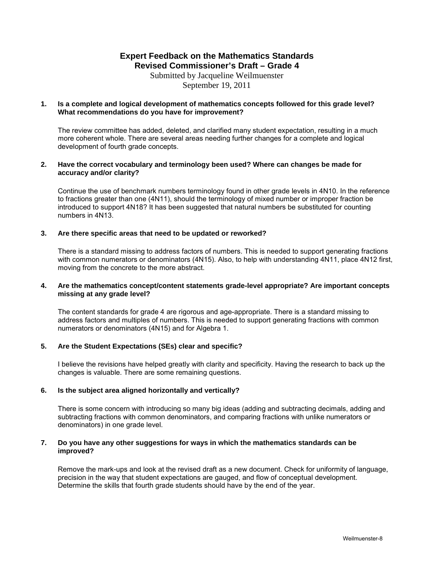Submitted by Jacqueline Weilmuenster September 19, 2011

## **1. Is a complete and logical development of mathematics concepts followed for this grade level? What recommendations do you have for improvement?**

The review committee has added, deleted, and clarified many student expectation, resulting in a much more coherent whole. There are several areas needing further changes for a complete and logical development of fourth grade concepts.

## **2. Have the correct vocabulary and terminology been used? Where can changes be made for accuracy and/or clarity?**

Continue the use of benchmark numbers terminology found in other grade levels in 4N10. In the reference to fractions greater than one (4N11), should the terminology of mixed number or improper fraction be introduced to support 4N18? It has been suggested that natural numbers be substituted for counting numbers in 4N13.

## **3. Are there specific areas that need to be updated or reworked?**

There is a standard missing to address factors of numbers. This is needed to support generating fractions with common numerators or denominators (4N15). Also, to help with understanding 4N11, place 4N12 first, moving from the concrete to the more abstract.

## **4. Are the mathematics concept/content statements grade-level appropriate? Are important concepts missing at any grade level?**

The content standards for grade 4 are rigorous and age-appropriate. There is a standard missing to address factors and multiples of numbers. This is needed to support generating fractions with common numerators or denominators (4N15) and for Algebra 1.

## **5. Are the Student Expectations (SEs) clear and specific?**

I believe the revisions have helped greatly with clarity and specificity. Having the research to back up the changes is valuable. There are some remaining questions.

## **6. Is the subject area aligned horizontally and vertically?**

There is some concern with introducing so many big ideas (adding and subtracting decimals, adding and subtracting fractions with common denominators, and comparing fractions with unlike numerators or denominators) in one grade level.

## **7. Do you have any other suggestions for ways in which the mathematics standards can be improved?**

Remove the mark-ups and look at the revised draft as a new document. Check for uniformity of language, precision in the way that student expectations are gauged, and flow of conceptual development. Determine the skills that fourth grade students should have by the end of the year.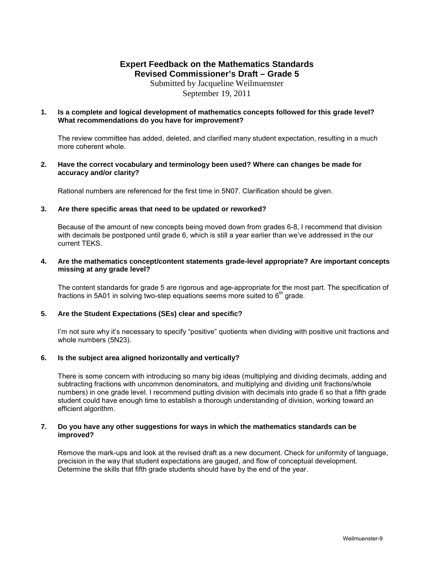Submitted by Jacqueline Weilmuenster September 19, 2011

### **1. Is a complete and logical development of mathematics concepts followed for this grade level? What recommendations do you have for improvement?**

The review committee has added, deleted, and clarified many student expectation, resulting in a much more coherent whole.

### **2. Have the correct vocabulary and terminology been used? Where can changes be made for accuracy and/or clarity?**

Rational numbers are referenced for the first time in 5N07. Clarification should be given.

### **3. Are there specific areas that need to be updated or reworked?**

Because of the amount of new concepts being moved down from grades 6-8, I recommend that division with decimals be postponed until grade 6, which is still a year earlier than we've addressed in the our current TEKS.

### **4. Are the mathematics concept/content statements grade-level appropriate? Are important concepts missing at any grade level?**

 The content standards for grade 5 are rigorous and age-appropriate for the most part. The specification of fractions in 5A01 in solving two-step equations seems more suited to  $6<sup>th</sup>$  grade.

## **5. Are the Student Expectations (SEs) clear and specific?**

I'm not sure why it's necessary to specify "positive" quotients when dividing with positive unit fractions and whole numbers (5N23).

#### **6. Is the subject area aligned horizontally and vertically?**

There is some concern with introducing so many big ideas (multiplying and dividing decimals, adding and subtracting fractions with uncommon denominators, and multiplying and dividing unit fractions/whole numbers) in one grade level. I recommend putting division with decimals into grade 6 so that a fifth grade student could have enough time to establish a thorough understanding of division, working toward an efficient algorithm.

### **7. Do you have any other suggestions for ways in which the mathematics standards can be improved?**

Remove the mark-ups and look at the revised draft as a new document. Check for uniformity of language, precision in the way that student expectations are gauged, and flow of conceptual development. Determine the skills that fifth grade students should have by the end of the year.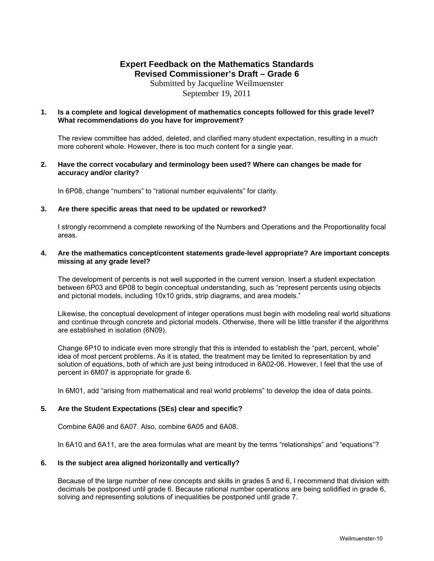Submitted by Jacqueline Weilmuenster September 19, 2011

### **1. Is a complete and logical development of mathematics concepts followed for this grade level? What recommendations do you have for improvement?**

The review committee has added, deleted, and clarified many student expectation, resulting in a much more coherent whole. However, there is too much content for a single year.

### **2. Have the correct vocabulary and terminology been used? Where can changes be made for accuracy and/or clarity?**

In 6P08, change "numbers" to "rational number equivalents" for clarity.

### **3. Are there specific areas that need to be updated or reworked?**

I strongly recommend a complete reworking of the Numbers and Operations and the Proportionality focal areas.

### **4. Are the mathematics concept/content statements grade-level appropriate? Are important concepts missing at any grade level?**

The development of percents is not well supported in the current version. Insert a student expectation between 6P03 and 6P08 to begin conceptual understanding, such as "represent percents using objects and pictorial models, including 10x10 grids, strip diagrams, and area models."

Likewise, the conceptual development of integer operations must begin with modeling real world situations and continue through concrete and pictorial models. Otherwise, there will be little transfer if the algorithms are established in isolation (6N09).

Change 6P10 to indicate even more strongly that this is intended to establish the "part, percent, whole" idea of most percent problems. As it is stated, the treatment may be limited to representation by and solution of equations, both of which are just being introduced in 6A02-06. However, I feel that the use of percent in 6M07 is appropriate for grade 6.

In 6M01, add "arising from mathematical and real world problems" to develop the idea of data points.

## **5. Are the Student Expectations (SEs) clear and specific?**

Combine 6A06 and 6A07. Also, combine 6A05 and 6A08.

In 6A10 and 6A11, are the area formulas what are meant by the terms "relationships" and "equations"?

## **6. Is the subject area aligned horizontally and vertically?**

Because of the large number of new concepts and skills in grades 5 and 6, I recommend that division with decimals be postponed until grade 6. Because rational number operations are being solidified in grade 6, solving and representing solutions of inequalities be postponed until grade 7.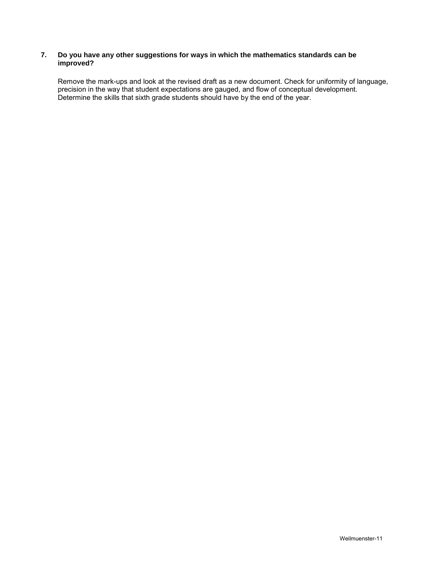## **7. Do you have any other suggestions for ways in which the mathematics standards can be improved?**

Remove the mark-ups and look at the revised draft as a new document. Check for uniformity of language, precision in the way that student expectations are gauged, and flow of conceptual development. Determine the skills that sixth grade students should have by the end of the year.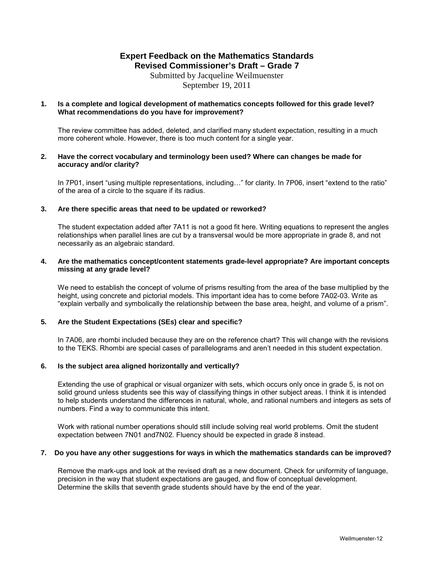Submitted by Jacqueline Weilmuenster September 19, 2011

## **1. Is a complete and logical development of mathematics concepts followed for this grade level? What recommendations do you have for improvement?**

The review committee has added, deleted, and clarified many student expectation, resulting in a much more coherent whole. However, there is too much content for a single year.

### **2. Have the correct vocabulary and terminology been used? Where can changes be made for accuracy and/or clarity?**

In 7P01, insert "using multiple representations, including…" for clarity. In 7P06, insert "extend to the ratio" of the area of a circle to the square if its radius.

### **3. Are there specific areas that need to be updated or reworked?**

The student expectation added after 7A11 is not a good fit here. Writing equations to represent the angles relationships when parallel lines are cut by a transversal would be more appropriate in grade 8, and not necessarily as an algebraic standard.

## **4. Are the mathematics concept/content statements grade-level appropriate? Are important concepts missing at any grade level?**

We need to establish the concept of volume of prisms resulting from the area of the base multiplied by the height, using concrete and pictorial models. This important idea has to come before 7A02-03. Write as "explain verbally and symbolically the relationship between the base area, height, and volume of a prism".

## **5. Are the Student Expectations (SEs) clear and specific?**

In 7A06, are rhombi included because they are on the reference chart? This will change with the revisions to the TEKS. Rhombi are special cases of parallelograms and aren't needed in this student expectation.

## **6. Is the subject area aligned horizontally and vertically?**

Extending the use of graphical or visual organizer with sets, which occurs only once in grade 5, is not on solid ground unless students see this way of classifying things in other subject areas. I think it is intended to help students understand the differences in natural, whole, and rational numbers and integers as sets of numbers. Find a way to communicate this intent.

Work with rational number operations should still include solving real world problems. Omit the student expectation between 7N01 and7N02. Fluency should be expected in grade 8 instead.

#### **7. Do you have any other suggestions for ways in which the mathematics standards can be improved?**

Remove the mark-ups and look at the revised draft as a new document. Check for uniformity of language, precision in the way that student expectations are gauged, and flow of conceptual development. Determine the skills that seventh grade students should have by the end of the year.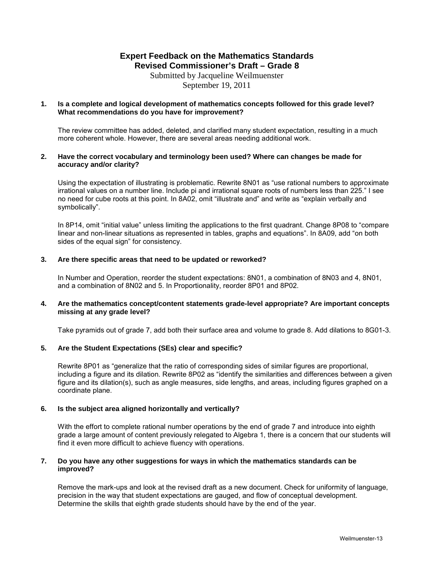Submitted by Jacqueline Weilmuenster September 19, 2011

## **1. Is a complete and logical development of mathematics concepts followed for this grade level? What recommendations do you have for improvement?**

The review committee has added, deleted, and clarified many student expectation, resulting in a much more coherent whole. However, there are several areas needing additional work.

### **2. Have the correct vocabulary and terminology been used? Where can changes be made for accuracy and/or clarity?**

Using the expectation of illustrating is problematic. Rewrite 8N01 as "use rational numbers to approximate irrational values on a number line. Include pi and irrational square roots of numbers less than 225." I see no need for cube roots at this point. In 8A02, omit "illustrate and" and write as "explain verbally and symbolically".

In 8P14, omit "initial value" unless limiting the applications to the first quadrant. Change 8P08 to "compare linear and non-linear situations as represented in tables, graphs and equations". In 8A09, add "on both sides of the equal sign" for consistency.

## **3. Are there specific areas that need to be updated or reworked?**

In Number and Operation, reorder the student expectations: 8N01, a combination of 8N03 and 4, 8N01, and a combination of 8N02 and 5. In Proportionality, reorder 8P01 and 8P02.

## **4. Are the mathematics concept/content statements grade-level appropriate? Are important concepts missing at any grade level?**

Take pyramids out of grade 7, add both their surface area and volume to grade 8. Add dilations to 8G01-3.

## **5. Are the Student Expectations (SEs) clear and specific?**

Rewrite 8P01 as "generalize that the ratio of corresponding sides of similar figures are proportional, including a figure and its dilation. Rewrite 8P02 as "identify the similarities and differences between a given figure and its dilation(s), such as angle measures, side lengths, and areas, including figures graphed on a coordinate plane.

## **6. Is the subject area aligned horizontally and vertically?**

With the effort to complete rational number operations by the end of grade 7 and introduce into eighth grade a large amount of content previously relegated to Algebra 1, there is a concern that our students will find it even more difficult to achieve fluency with operations.

### **7. Do you have any other suggestions for ways in which the mathematics standards can be improved?**

Remove the mark-ups and look at the revised draft as a new document. Check for uniformity of language, precision in the way that student expectations are gauged, and flow of conceptual development. Determine the skills that eighth grade students should have by the end of the year.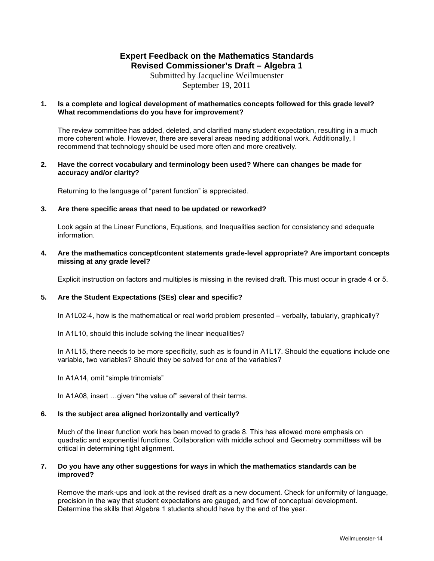Submitted by Jacqueline Weilmuenster September 19, 2011

## **1. Is a complete and logical development of mathematics concepts followed for this grade level? What recommendations do you have for improvement?**

The review committee has added, deleted, and clarified many student expectation, resulting in a much more coherent whole. However, there are several areas needing additional work. Additionally, I recommend that technology should be used more often and more creatively.

### **2. Have the correct vocabulary and terminology been used? Where can changes be made for accuracy and/or clarity?**

Returning to the language of "parent function" is appreciated.

### **3. Are there specific areas that need to be updated or reworked?**

Look again at the Linear Functions, Equations, and Inequalities section for consistency and adequate information.

## **4. Are the mathematics concept/content statements grade-level appropriate? Are important concepts missing at any grade level?**

Explicit instruction on factors and multiples is missing in the revised draft. This must occur in grade 4 or 5.

## **5. Are the Student Expectations (SEs) clear and specific?**

In A1L02-4, how is the mathematical or real world problem presented – verbally, tabularly, graphically?

In A1L10, should this include solving the linear inequalities?

In A1L15, there needs to be more specificity, such as is found in A1L17. Should the equations include one variable, two variables? Should they be solved for one of the variables?

In A1A14, omit "simple trinomials"

In A1A08, insert …given "the value of" several of their terms.

## **6. Is the subject area aligned horizontally and vertically?**

Much of the linear function work has been moved to grade 8. This has allowed more emphasis on quadratic and exponential functions. Collaboration with middle school and Geometry committees will be critical in determining tight alignment.

### **7. Do you have any other suggestions for ways in which the mathematics standards can be improved?**

Remove the mark-ups and look at the revised draft as a new document. Check for uniformity of language, precision in the way that student expectations are gauged, and flow of conceptual development. Determine the skills that Algebra 1 students should have by the end of the year.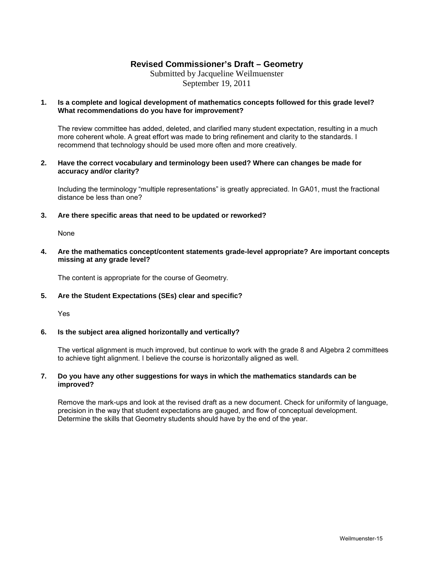## **Revised Commissioner's Draft – Geometry**

Submitted by Jacqueline Weilmuenster September 19, 2011

## **1. Is a complete and logical development of mathematics concepts followed for this grade level? What recommendations do you have for improvement?**

The review committee has added, deleted, and clarified many student expectation, resulting in a much more coherent whole. A great effort was made to bring refinement and clarity to the standards. I recommend that technology should be used more often and more creatively.

## **2. Have the correct vocabulary and terminology been used? Where can changes be made for accuracy and/or clarity?**

Including the terminology "multiple representations" is greatly appreciated. In GA01, must the fractional distance be less than one?

## **3. Are there specific areas that need to be updated or reworked?**

None

## **4. Are the mathematics concept/content statements grade-level appropriate? Are important concepts missing at any grade level?**

The content is appropriate for the course of Geometry.

## **5. Are the Student Expectations (SEs) clear and specific?**

Yes

## **6. Is the subject area aligned horizontally and vertically?**

The vertical alignment is much improved, but continue to work with the grade 8 and Algebra 2 committees to achieve tight alignment. I believe the course is horizontally aligned as well.

## **7. Do you have any other suggestions for ways in which the mathematics standards can be improved?**

Remove the mark-ups and look at the revised draft as a new document. Check for uniformity of language, precision in the way that student expectations are gauged, and flow of conceptual development. Determine the skills that Geometry students should have by the end of the year.